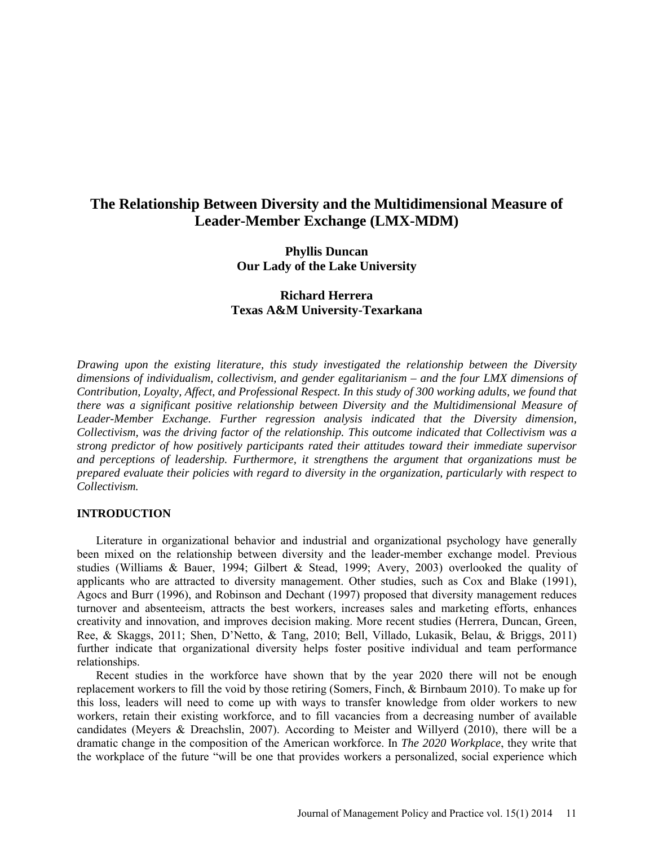# **The Relationship Between Diversity and the Multidimensional Measure of Leader-Member Exchange (LMX-MDM)**

## **Phyllis Duncan Our Lady of the Lake University**

## **Richard Herrera Texas A&M University-Texarkana**

*Drawing upon the existing literature, this study investigated the relationship between the Diversity dimensions of individualism, collectivism, and gender egalitarianism – and the four LMX dimensions of Contribution, Loyalty, Affect, and Professional Respect. In this study of 300 working adults, we found that there was a significant positive relationship between Diversity and the Multidimensional Measure of Leader-Member Exchange. Further regression analysis indicated that the Diversity dimension, Collectivism, was the driving factor of the relationship. This outcome indicated that Collectivism was a strong predictor of how positively participants rated their attitudes toward their immediate supervisor and perceptions of leadership. Furthermore, it strengthens the argument that organizations must be prepared evaluate their policies with regard to diversity in the organization, particularly with respect to Collectivism.*

## **INTRODUCTION**

Literature in organizational behavior and industrial and organizational psychology have generally been mixed on the relationship between diversity and the leader-member exchange model. Previous studies (Williams & Bauer, 1994; Gilbert & Stead, 1999; Avery, 2003) overlooked the quality of applicants who are attracted to diversity management. Other studies, such as Cox and Blake (1991), Agocs and Burr (1996), and Robinson and Dechant (1997) proposed that diversity management reduces turnover and absenteeism, attracts the best workers, increases sales and marketing efforts, enhances creativity and innovation, and improves decision making. More recent studies (Herrera, Duncan, Green, Ree, & Skaggs, 2011; Shen, D'Netto, & Tang, 2010; Bell, Villado, Lukasik, Belau, & Briggs, 2011) further indicate that organizational diversity helps foster positive individual and team performance relationships.

Recent studies in the workforce have shown that by the year 2020 there will not be enough replacement workers to fill the void by those retiring (Somers, Finch, & Birnbaum 2010). To make up for this loss, leaders will need to come up with ways to transfer knowledge from older workers to new workers, retain their existing workforce, and to fill vacancies from a decreasing number of available candidates (Meyers & Dreachslin, 2007). According to Meister and Willyerd (2010), there will be a dramatic change in the composition of the American workforce. In *The 2020 Workplace*, they write that the workplace of the future "will be one that provides workers a personalized, social experience which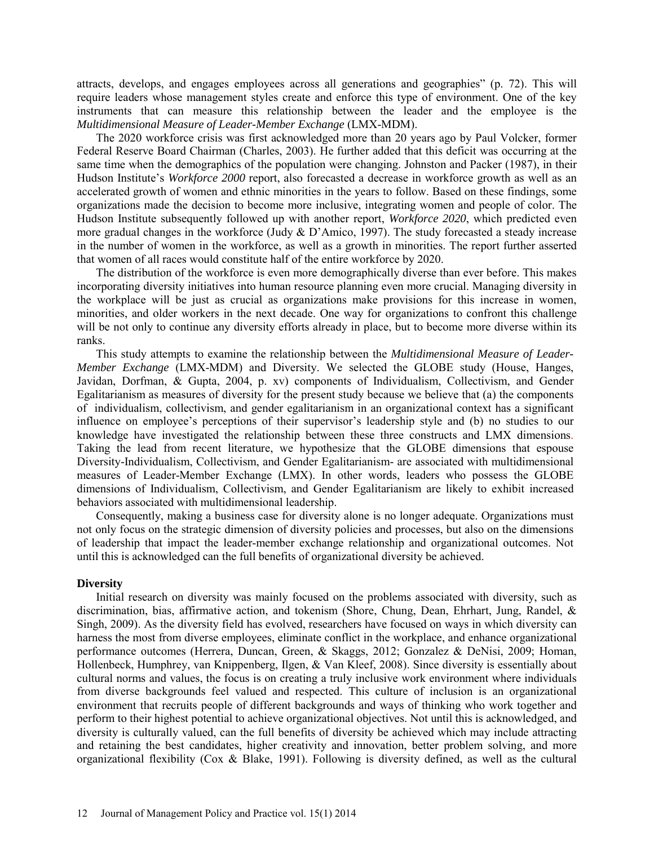attracts, develops, and engages employees across all generations and geographies" (p. 72). This will require leaders whose management styles create and enforce this type of environment. One of the key instruments that can measure this relationship between the leader and the employee is the *Multidimensional Measure of Leader-Member Exchange* (LMX-MDM).

The 2020 workforce crisis was first acknowledged more than 20 years ago by Paul Volcker, former Federal Reserve Board Chairman (Charles, 2003). He further added that this deficit was occurring at the same time when the demographics of the population were changing. Johnston and Packer (1987), in their Hudson Institute's *Workforce 2000* report, also forecasted a decrease in workforce growth as well as an accelerated growth of women and ethnic minorities in the years to follow. Based on these findings, some organizations made the decision to become more inclusive, integrating women and people of color. The Hudson Institute subsequently followed up with another report, *Workforce 2020*, which predicted even more gradual changes in the workforce (Judy & D'Amico, 1997). The study forecasted a steady increase in the number of women in the workforce, as well as a growth in minorities. The report further asserted that women of all races would constitute half of the entire workforce by 2020.

The distribution of the workforce is even more demographically diverse than ever before. This makes incorporating diversity initiatives into human resource planning even more crucial. Managing diversity in the workplace will be just as crucial as organizations make provisions for this increase in women, minorities, and older workers in the next decade. One way for organizations to confront this challenge will be not only to continue any diversity efforts already in place, but to become more diverse within its ranks.

This study attempts to examine the relationship between the *Multidimensional Measure of Leader-Member Exchange* (LMX-MDM) and Diversity. We selected the GLOBE study (House, Hanges, Javidan, Dorfman, & Gupta, 2004, p. xv) components of Individualism, Collectivism, and Gender Egalitarianism as measures of diversity for the present study because we believe that (a) the components of individualism, collectivism, and gender egalitarianism in an organizational context has a significant influence on employee's perceptions of their supervisor's leadership style and (b) no studies to our knowledge have investigated the relationship between these three constructs and LMX dimensions. Taking the lead from recent literature, we hypothesize that the GLOBE dimensions that espouse Diversity-Individualism, Collectivism, and Gender Egalitarianism- are associated with multidimensional measures of Leader-Member Exchange (LMX). In other words, leaders who possess the GLOBE dimensions of Individualism, Collectivism, and Gender Egalitarianism are likely to exhibit increased behaviors associated with multidimensional leadership.

Consequently, making a business case for diversity alone is no longer adequate. Organizations must not only focus on the strategic dimension of diversity policies and processes, but also on the dimensions of leadership that impact the leader-member exchange relationship and organizational outcomes. Not until this is acknowledged can the full benefits of organizational diversity be achieved.

#### **Diversity**

Initial research on diversity was mainly focused on the problems associated with diversity, such as discrimination, bias, affirmative action, and tokenism (Shore, Chung, Dean, Ehrhart, Jung, Randel, & Singh, 2009). As the diversity field has evolved, researchers have focused on ways in which diversity can harness the most from diverse employees, eliminate conflict in the workplace, and enhance organizational performance outcomes (Herrera, Duncan, Green, & Skaggs, 2012; Gonzalez & DeNisi, 2009; Homan, Hollenbeck, Humphrey, van Knippenberg, Ilgen, & Van Kleef, 2008). Since diversity is essentially about cultural norms and values, the focus is on creating a truly inclusive work environment where individuals from diverse backgrounds feel valued and respected. This culture of inclusion is an organizational environment that recruits people of different backgrounds and ways of thinking who work together and perform to their highest potential to achieve organizational objectives. Not until this is acknowledged, and diversity is culturally valued, can the full benefits of diversity be achieved which may include attracting and retaining the best candidates, higher creativity and innovation, better problem solving, and more organizational flexibility (Cox & Blake, 1991). Following is diversity defined, as well as the cultural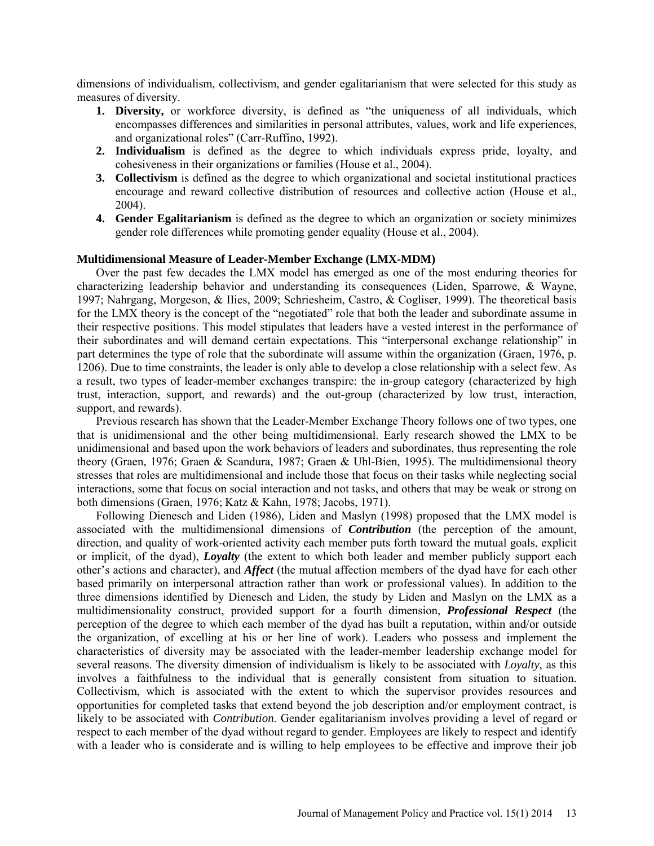dimensions of individualism, collectivism, and gender egalitarianism that were selected for this study as measures of diversity.

- **1. Diversity,** or workforce diversity, is defined as "the uniqueness of all individuals, which encompasses differences and similarities in personal attributes, values, work and life experiences, and organizational roles" (Carr-Ruffino, 1992).
- **2. Individualism** is defined as the degree to which individuals express pride, loyalty, and cohesiveness in their organizations or families (House et al., 2004).
- **3. Collectivism** is defined as the degree to which organizational and societal institutional practices encourage and reward collective distribution of resources and collective action (House et al., 2004).
- **4. Gender Egalitarianism** is defined as the degree to which an organization or society minimizes gender role differences while promoting gender equality (House et al., 2004).

#### **Multidimensional Measure of Leader-Member Exchange (LMX-MDM)**

Over the past few decades the LMX model has emerged as one of the most enduring theories for characterizing leadership behavior and understanding its consequences (Liden, Sparrowe, & Wayne, 1997; Nahrgang, Morgeson, & IIies, 2009; Schriesheim, Castro, & Cogliser, 1999). The theoretical basis for the LMX theory is the concept of the "negotiated" role that both the leader and subordinate assume in their respective positions. This model stipulates that leaders have a vested interest in the performance of their subordinates and will demand certain expectations. This "interpersonal exchange relationship" in part determines the type of role that the subordinate will assume within the organization (Graen, 1976, p. 1206). Due to time constraints, the leader is only able to develop a close relationship with a select few. As a result, two types of leader-member exchanges transpire: the in-group category (characterized by high trust, interaction, support, and rewards) and the out-group (characterized by low trust, interaction, support, and rewards).

Previous research has shown that the Leader-Member Exchange Theory follows one of two types, one that is unidimensional and the other being multidimensional. Early research showed the LMX to be unidimensional and based upon the work behaviors of leaders and subordinates, thus representing the role theory (Graen, 1976; Graen & Scandura, 1987; Graen & Uhl-Bien, 1995). The multidimensional theory stresses that roles are multidimensional and include those that focus on their tasks while neglecting social interactions, some that focus on social interaction and not tasks, and others that may be weak or strong on both dimensions (Graen, 1976; Katz & Kahn, 1978; Jacobs, 1971).

Following Dienesch and Liden (1986), Liden and Maslyn (1998) proposed that the LMX model is associated with the multidimensional dimensions of *Contribution* (the perception of the amount, direction, and quality of work-oriented activity each member puts forth toward the mutual goals, explicit or implicit, of the dyad), *Loyalty* (the extent to which both leader and member publicly support each other's actions and character), and *Affect* (the mutual affection members of the dyad have for each other based primarily on interpersonal attraction rather than work or professional values). In addition to the three dimensions identified by Dienesch and Liden, the study by Liden and Maslyn on the LMX as a multidimensionality construct, provided support for a fourth dimension, *Professional Respect* (the perception of the degree to which each member of the dyad has built a reputation, within and/or outside the organization, of excelling at his or her line of work). Leaders who possess and implement the characteristics of diversity may be associated with the leader-member leadership exchange model for several reasons. The diversity dimension of individualism is likely to be associated with *Loyalty*, as this involves a faithfulness to the individual that is generally consistent from situation to situation. Collectivism, which is associated with the extent to which the supervisor provides resources and opportunities for completed tasks that extend beyond the job description and/or employment contract, is likely to be associated with *Contribution*. Gender egalitarianism involves providing a level of regard or respect to each member of the dyad without regard to gender. Employees are likely to respect and identify with a leader who is considerate and is willing to help employees to be effective and improve their job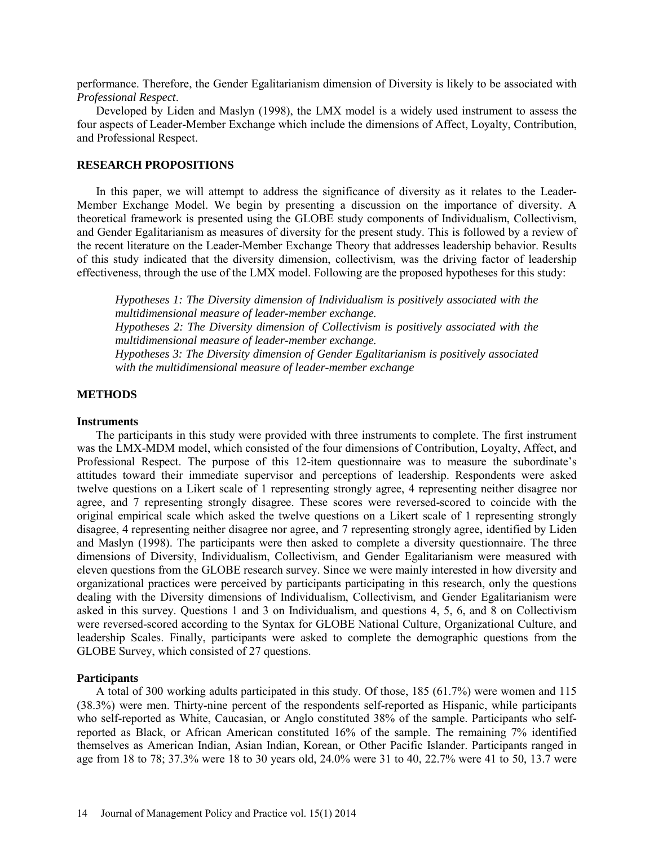performance. Therefore, the Gender Egalitarianism dimension of Diversity is likely to be associated with *Professional Respect*.

Developed by Liden and Maslyn (1998), the LMX model is a widely used instrument to assess the four aspects of Leader-Member Exchange which include the dimensions of Affect, Loyalty, Contribution, and Professional Respect.

## **RESEARCH PROPOSITIONS**

In this paper, we will attempt to address the significance of diversity as it relates to the Leader-Member Exchange Model. We begin by presenting a discussion on the importance of diversity. A theoretical framework is presented using the GLOBE study components of Individualism, Collectivism, and Gender Egalitarianism as measures of diversity for the present study. This is followed by a review of the recent literature on the Leader-Member Exchange Theory that addresses leadership behavior. Results of this study indicated that the diversity dimension, collectivism, was the driving factor of leadership effectiveness, through the use of the LMX model. Following are the proposed hypotheses for this study:

*Hypotheses 1: The Diversity dimension of Individualism is positively associated with the multidimensional measure of leader-member exchange. Hypotheses 2: The Diversity dimension of Collectivism is positively associated with the multidimensional measure of leader-member exchange. Hypotheses 3: The Diversity dimension of Gender Egalitarianism is positively associated with the multidimensional measure of leader-member exchange*

## **METHODS**

#### **Instruments**

The participants in this study were provided with three instruments to complete. The first instrument was the LMX-MDM model, which consisted of the four dimensions of Contribution, Loyalty, Affect, and Professional Respect. The purpose of this 12-item questionnaire was to measure the subordinate's attitudes toward their immediate supervisor and perceptions of leadership. Respondents were asked twelve questions on a Likert scale of 1 representing strongly agree, 4 representing neither disagree nor agree, and 7 representing strongly disagree. These scores were reversed-scored to coincide with the original empirical scale which asked the twelve questions on a Likert scale of 1 representing strongly disagree, 4 representing neither disagree nor agree, and 7 representing strongly agree, identified by Liden and Maslyn (1998). The participants were then asked to complete a diversity questionnaire. The three dimensions of Diversity, Individualism, Collectivism, and Gender Egalitarianism were measured with eleven questions from the GLOBE research survey. Since we were mainly interested in how diversity and organizational practices were perceived by participants participating in this research, only the questions dealing with the Diversity dimensions of Individualism, Collectivism, and Gender Egalitarianism were asked in this survey. Questions 1 and 3 on Individualism, and questions 4, 5, 6, and 8 on Collectivism were reversed-scored according to the Syntax for GLOBE National Culture, Organizational Culture, and leadership Scales. Finally, participants were asked to complete the demographic questions from the GLOBE Survey, which consisted of 27 questions.

#### **Participants**

A total of 300 working adults participated in this study. Of those, 185 (61.7%) were women and 115 (38.3%) were men. Thirty-nine percent of the respondents self-reported as Hispanic, while participants who self-reported as White, Caucasian, or Anglo constituted 38% of the sample. Participants who selfreported as Black, or African American constituted 16% of the sample. The remaining 7% identified themselves as American Indian, Asian Indian, Korean, or Other Pacific Islander. Participants ranged in age from 18 to 78; 37.3% were 18 to 30 years old, 24.0% were 31 to 40, 22.7% were 41 to 50, 13.7 were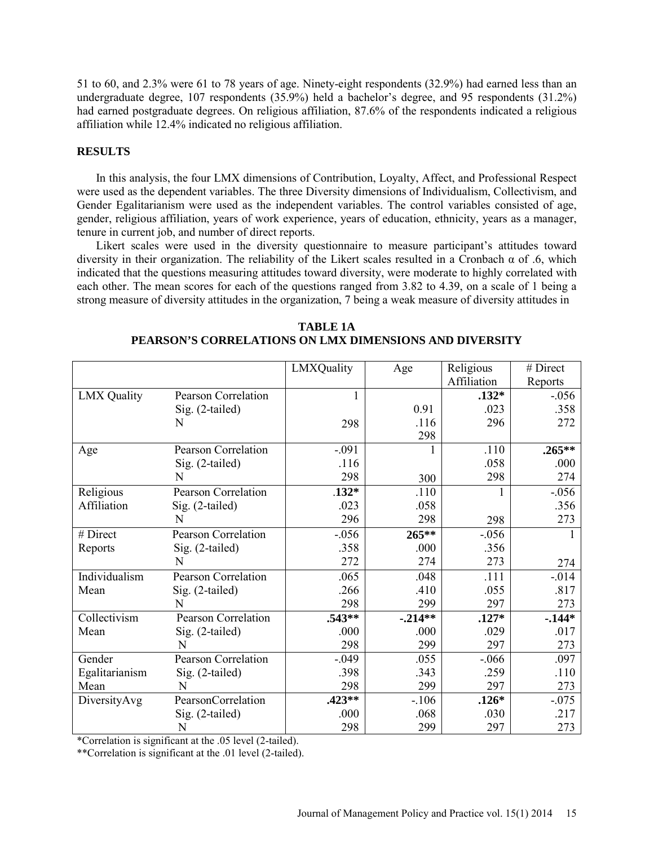51 to 60, and 2.3% were 61 to 78 years of age. Ninety-eight respondents (32.9%) had earned less than an undergraduate degree, 107 respondents (35.9%) held a bachelor's degree, and 95 respondents (31.2%) had earned postgraduate degrees. On religious affiliation, 87.6% of the respondents indicated a religious affiliation while 12.4% indicated no religious affiliation.

#### **RESULTS**

In this analysis, the four LMX dimensions of Contribution, Loyalty, Affect, and Professional Respect were used as the dependent variables. The three Diversity dimensions of Individualism, Collectivism, and Gender Egalitarianism were used as the independent variables. The control variables consisted of age, gender, religious affiliation, years of work experience, years of education, ethnicity, years as a manager, tenure in current job, and number of direct reports.

Likert scales were used in the diversity questionnaire to measure participant's attitudes toward diversity in their organization. The reliability of the Likert scales resulted in a Cronbach  $\alpha$  of .6, which indicated that the questions measuring attitudes toward diversity, were moderate to highly correlated with each other. The mean scores for each of the questions ranged from 3.82 to 4.39, on a scale of 1 being a strong measure of diversity attitudes in the organization, 7 being a weak measure of diversity attitudes in

|                    |                            | LMXQuality | Age       | Religious   | # Direct  |
|--------------------|----------------------------|------------|-----------|-------------|-----------|
|                    |                            |            |           | Affiliation | Reports   |
| <b>LMX</b> Quality | <b>Pearson Correlation</b> | 1          |           | $.132*$     | $-0.056$  |
|                    | Sig. (2-tailed)            |            | 0.91      | .023        | .358      |
|                    | N                          | 298        | .116      | 296         | 272       |
|                    |                            |            | 298       |             |           |
| Age                | <b>Pearson Correlation</b> | $-.091$    |           | .110        | $.265***$ |
|                    | Sig. (2-tailed)            | .116       |           | .058        | .000      |
|                    | N                          | 298        | 300       | 298         | 274       |
| Religious          | <b>Pearson Correlation</b> | $.132*$    | .110      |             | $-.056$   |
| Affiliation        | Sig. (2-tailed)            | .023       | .058      |             | .356      |
|                    | N                          | 296        | 298       | 298         | 273       |
| # Direct           | <b>Pearson Correlation</b> | $-0.056$   | 265**     | $-.056$     |           |
| Reports            | Sig. (2-tailed)            | .358       | .000      | .356        |           |
|                    | N                          | 272        | 274       | 273         | 274       |
| Individualism      | <b>Pearson Correlation</b> | .065       | .048      | .111        | $-0.014$  |
| Mean               | Sig. (2-tailed)            | .266       | .410      | .055        | .817      |
|                    | N                          | 298        | 299       | 297         | 273       |
| Collectivism       | <b>Pearson Correlation</b> | $.543**$   | $-.214**$ | $.127*$     | $-144*$   |
| Mean               | Sig. (2-tailed)            | .000       | .000      | .029        | .017      |
|                    | N                          | 298        | 299       | 297         | 273       |
| Gender             | <b>Pearson Correlation</b> | $-.049$    | .055      | $-0.066$    | .097      |
| Egalitarianism     | Sig. (2-tailed)            | .398       | .343      | .259        | .110      |
| Mean               | N                          | 298        | 299       | 297         | 273       |
| DiversityAvg       | PearsonCorrelation         | $.423**$   | $-106$    | $.126*$     | $-.075$   |
|                    | Sig. (2-tailed)            | .000       | .068      | .030        | .217      |
|                    | N                          | 298        | 299       | 297         | 273       |

**TABLE 1A PEARSON'S CORRELATIONS ON LMX DIMENSIONS AND DIVERSITY**

\*Correlation is significant at the .05 level (2-tailed).

\*\*Correlation is significant at the .01 level (2-tailed).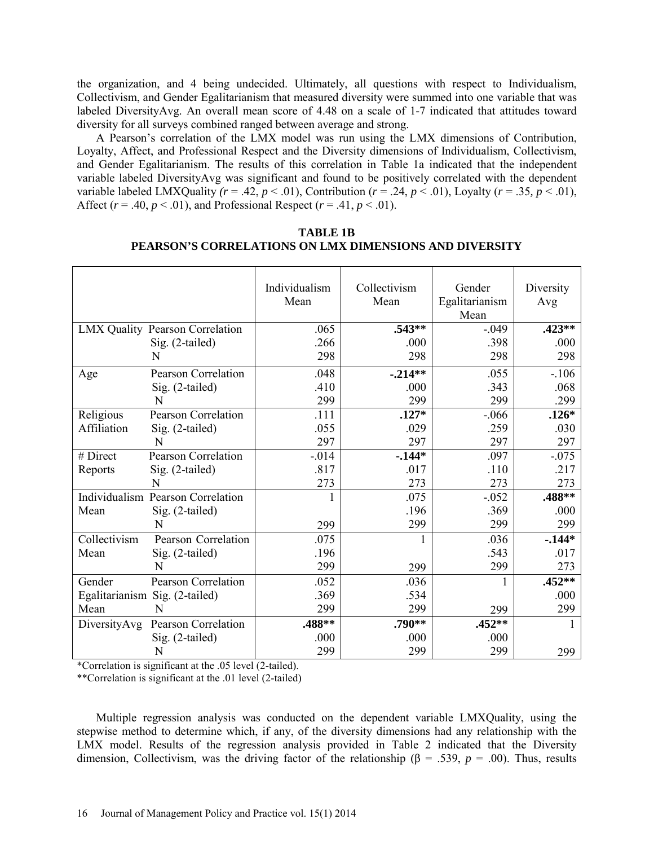the organization, and 4 being undecided. Ultimately, all questions with respect to Individualism, Collectivism, and Gender Egalitarianism that measured diversity were summed into one variable that was labeled DiversityAvg. An overall mean score of 4.48 on a scale of 1-7 indicated that attitudes toward diversity for all surveys combined ranged between average and strong.

A Pearson's correlation of the LMX model was run using the LMX dimensions of Contribution, Loyalty, Affect, and Professional Respect and the Diversity dimensions of Individualism, Collectivism, and Gender Egalitarianism. The results of this correlation in Table 1a indicated that the independent variable labeled DiversityAvg was significant and found to be positively correlated with the dependent variable labeled LMXQuality  $(r = .42, p < .01)$ , Contribution  $(r = .24, p < .01)$ , Loyalty  $(r = .35, p < .01)$ , Affect  $(r = .40, p < .01)$ , and Professional Respect  $(r = .41, p < .01)$ .

| <b>TABLE 1B</b>                                        |  |
|--------------------------------------------------------|--|
| PEARSON'S CORRELATIONS ON LMX DIMENSIONS AND DIVERSITY |  |

|                                         | Individualism | Collectivism | Gender         | Diversity |
|-----------------------------------------|---------------|--------------|----------------|-----------|
|                                         | Mean          | Mean         | Egalitarianism | Avg       |
|                                         |               |              | Mean           |           |
| <b>LMX Quality Pearson Correlation</b>  | .065          | $.543**$     | $-.049$        | $.423**$  |
| $Sig. (2-tailed)$                       | .266          | .000         | .398           | .000      |
| N                                       | 298           | 298          | 298            | 298       |
| <b>Pearson Correlation</b><br>Age       | .048          | $-.214**$    | .055           | $-106$    |
| Sig. (2-tailed)                         | .410          | .000         | .343           | .068      |
| N                                       | 299           | 299          | 299            | .299      |
| Religious<br><b>Pearson Correlation</b> | .111          | $.127*$      | $-.066$        | $.126*$   |
| Affiliation<br>$Sig. (2-tailed)$        | .055          | .029         | .259           | .030      |
| N                                       | 297           | 297          | 297            | 297       |
| # Direct<br><b>Pearson Correlation</b>  | $-0.014$      | $-144*$      | .097           | $-.075$   |
| Reports<br>$Sig. (2-tailed)$            | .817          | .017         | .110           | .217      |
| N                                       | 273           | 273          | 273            | 273       |
| Individualism Pearson Correlation       |               | .075         | $-.052$        | $.488**$  |
| Mean<br>$Sig. (2-tailed)$               |               | .196         | .369           | .000      |
| N                                       | 299           | 299          | 299            | 299       |
| Collectivism<br>Pearson Correlation     | .075          |              | .036           | $-144*$   |
| Mean<br>Sig. (2-tailed)                 | .196          |              | .543           | .017      |
| N                                       | 299           | 299          | 299            | 273       |
| Gender<br><b>Pearson Correlation</b>    | .052          | .036         |                | $.452**$  |
| Egalitarianism Sig. (2-tailed)          | .369          | .534         |                | .000      |
| Mean<br>N                               | 299           | 299          | 299            | 299       |
| Pearson Correlation<br>DiversityAvg     | .488**        | $.790**$     | $.452**$       |           |
| Sig. (2-tailed)                         | .000          | .000         | .000           |           |
| N                                       | 299           | 299          | 299            | 299       |

\*Correlation is significant at the .05 level (2-tailed).

\*\*Correlation is significant at the .01 level (2-tailed)

Multiple regression analysis was conducted on the dependent variable LMXQuality, using the stepwise method to determine which, if any, of the diversity dimensions had any relationship with the LMX model. Results of the regression analysis provided in Table 2 indicated that the Diversity dimension, Collectivism, was the driving factor of the relationship (β = .539,  $p = .00$ ). Thus, results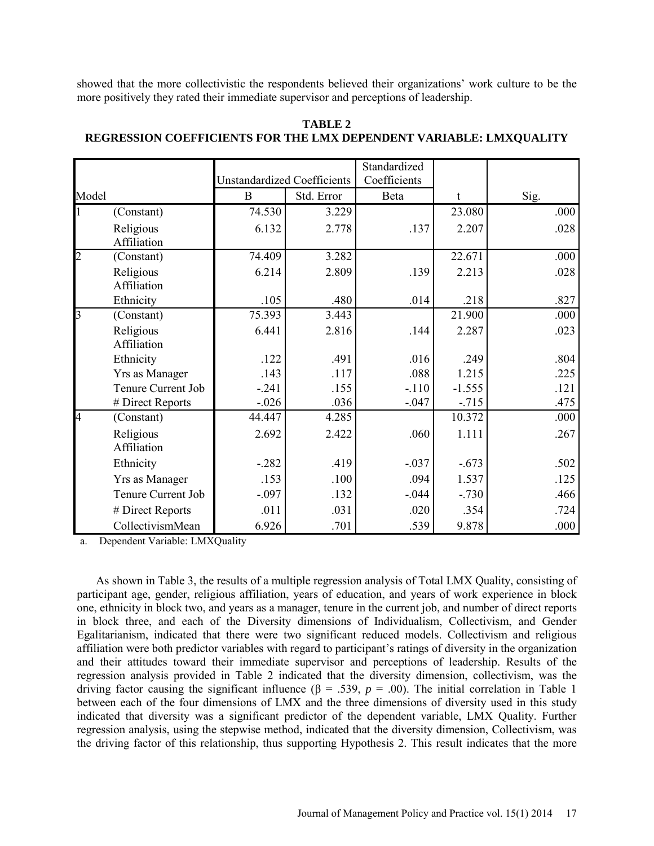showed that the more collectivistic the respondents believed their organizations' work culture to be the more positively they rated their immediate supervisor and perceptions of leadership.

|                |                          |                                    |            | Standardized |          |      |
|----------------|--------------------------|------------------------------------|------------|--------------|----------|------|
|                |                          | <b>Unstandardized Coefficients</b> |            | Coefficients |          |      |
| Model          |                          | B                                  | Std. Error | Beta         | t        | Sig. |
|                | (Constant)               | 74.530                             | 3.229      |              | 23.080   | .000 |
|                | Religious<br>Affiliation | 6.132                              | 2.778      | .137         | 2.207    | .028 |
| $\overline{2}$ | (Constant)               | 74.409                             | 3.282      |              | 22.671   | .000 |
|                | Religious<br>Affiliation | 6.214                              | 2.809      | .139         | 2.213    | .028 |
|                | Ethnicity                | .105                               | .480       | .014         | .218     | .827 |
| $\overline{3}$ | (Constant)               | 75.393                             | 3.443      |              | 21.900   | .000 |
|                | Religious<br>Affiliation | 6.441                              | 2.816      | .144         | 2.287    | .023 |
|                | Ethnicity                | .122                               | .491       | .016         | .249     | .804 |
|                | <b>Yrs as Manager</b>    | .143                               | .117       | .088         | 1.215    | .225 |
|                | Tenure Current Job       | $-.241$                            | .155       | $-.110$      | $-1.555$ | .121 |
|                | # Direct Reports         | $-0.026$                           | .036       | $-.047$      | $-715$   | .475 |
| 4              | (Constant)               | 44.447                             | 4.285      |              | 10.372   | .000 |
|                | Religious<br>Affiliation | 2.692                              | 2.422      | .060         | 1.111    | .267 |
|                | Ethnicity                | $-.282$                            | .419       | $-.037$      | $-.673$  | .502 |
|                | Yrs as Manager           | .153                               | .100       | .094         | 1.537    | .125 |
|                | Tenure Current Job       | $-.097$                            | .132       | $-0.044$     | $-.730$  | .466 |
|                | # Direct Reports         | .011                               | .031       | .020         | .354     | .724 |
|                | CollectivismMean         | 6.926                              | .701       | .539         | 9.878    | .000 |

## **TABLE 2 REGRESSION COEFFICIENTS FOR THE LMX DEPENDENT VARIABLE: LMXQUALITY**

a. Dependent Variable: LMXQuality

As shown in Table 3, the results of a multiple regression analysis of Total LMX Quality, consisting of participant age, gender, religious affiliation, years of education, and years of work experience in block one, ethnicity in block two, and years as a manager, tenure in the current job, and number of direct reports in block three, and each of the Diversity dimensions of Individualism, Collectivism, and Gender Egalitarianism, indicated that there were two significant reduced models. Collectivism and religious affiliation were both predictor variables with regard to participant's ratings of diversity in the organization and their attitudes toward their immediate supervisor and perceptions of leadership. Results of the regression analysis provided in Table 2 indicated that the diversity dimension, collectivism, was the driving factor causing the significant influence ( $\beta = .539$ ,  $p = .00$ ). The initial correlation in Table 1 between each of the four dimensions of LMX and the three dimensions of diversity used in this study indicated that diversity was a significant predictor of the dependent variable, LMX Quality. Further regression analysis, using the stepwise method, indicated that the diversity dimension, Collectivism, was the driving factor of this relationship, thus supporting Hypothesis 2. This result indicates that the more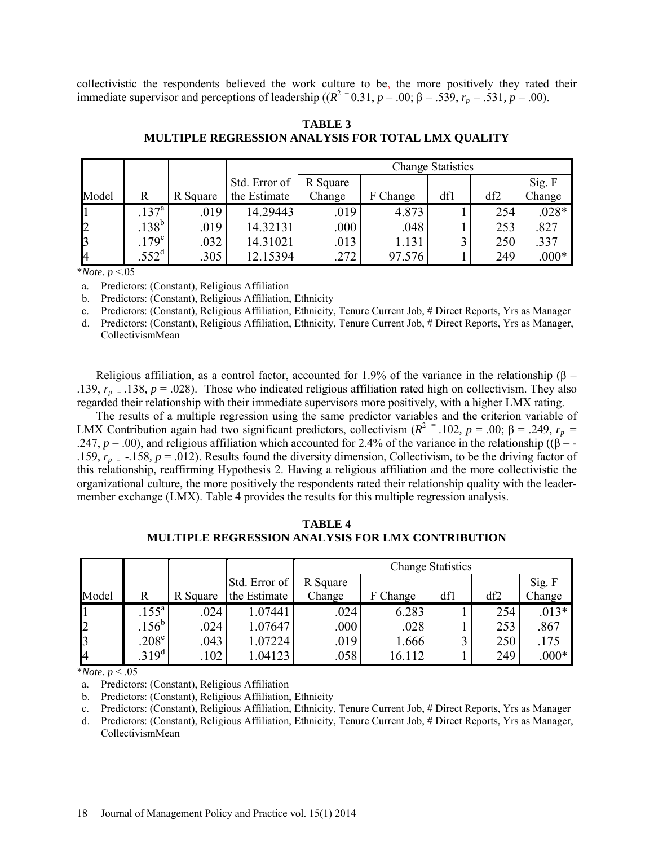collectivistic the respondents believed the work culture to be, the more positively they rated their immediate supervisor and perceptions of leadership (( $R$ <sup>2</sup> = 0.31,  $p$  = .00; β = .539,  $r_p$  = .531,  $p$  = .00).

|              |                   |          |               | <b>Change Statistics</b> |          |              |     |         |
|--------------|-------------------|----------|---------------|--------------------------|----------|--------------|-----|---------|
|              |                   |          | Std. Error of | R Square                 |          |              |     | Sig. F  |
| Model        | R                 | R Square | the Estimate  | Change                   | F Change | df1          | df2 | Change  |
|              | $.137^{a}$        | .019     | 14.29443      | .019                     | 4.873    |              | 254 | $.028*$ |
| $\mathbf{p}$ | $.138^{\rm b}$    | .019     | 14.32131      | .000                     | .048     |              | 253 | .827    |
| $\mathbf{B}$ | .179 <sup>c</sup> | .032     | 14.31021      | .013                     | 1.131    | $\mathbf{c}$ | 250 | .337    |
| <b>I</b> 4   | .552 <sup>d</sup> | .305     | 12.15394      | 272                      | 97.576   |              | 249 | $.000*$ |

**TABLE 3 MULTIPLE REGRESSION ANALYSIS FOR TOTAL LMX QUALITY**

\**Note*. *p* <.05

a. Predictors: (Constant), Religious Affiliation

b. Predictors: (Constant), Religious Affiliation, Ethnicity

c. Predictors: (Constant), Religious Affiliation, Ethnicity, Tenure Current Job, # Direct Reports, Yrs as Manager

d. Predictors: (Constant), Religious Affiliation, Ethnicity, Tenure Current Job, # Direct Reports, Yrs as Manager, CollectivismMean

Religious affiliation, as a control factor, accounted for 1.9% of the variance in the relationship ( $\beta$  = .139,  $r_{p}$  = .138,  $p = .028$ ). Those who indicated religious affiliation rated high on collectivism. They also regarded their relationship with their immediate supervisors more positively, with a higher LMX rating.

The results of a multiple regression using the same predictor variables and the criterion variable of LMX Contribution again had two significant predictors, collectivism  $(R^2$ <sup>=</sup> .102*, p* = .00;  $\beta$  = .249,  $r_p$  = .247,  $p = .00$ ), and religious affiliation which accounted for 2.4% of the variance in the relationship (( $\beta$  = -.159,  $r_{p}$  = -.158,  $p = .012$ ). Results found the diversity dimension, Collectivism, to be the driving factor of this relationship, reaffirming Hypothesis 2. Having a religious affiliation and the more collectivistic the organizational culture, the more positively the respondents rated their relationship quality with the leadermember exchange (LMX). Table 4 provides the results for this multiple regression analysis.

**TABLE 4 MULTIPLE REGRESSION ANALYSIS FOR LMX CONTRIBUTION**

|                      |               |          |               |          | <b>Change Statistics</b> |             |     |         |  |
|----------------------|---------------|----------|---------------|----------|--------------------------|-------------|-----|---------|--|
|                      |               |          | Std. Error of | R Square |                          |             |     | Sig. F  |  |
| Model                | R             | R Square | the Estimate  | Change   | F Change                 | df1         | df2 | Change  |  |
|                      | $.155^{a}$    | .024     | 1.07441       | .024     | 6.283                    |             | 254 | $.013*$ |  |
| 2                    | $.156^{b}$    | .024     | 1.07647       | .000     | .028                     |             | 253 | .867    |  |
| $\boldsymbol{\beta}$ | $208^{\circ}$ | .043     | 1.07224       | .019     | 1.666                    | $\mathbf 3$ | 250 | .175    |  |
| <b>Z</b>             | $.319^{d}$    | 102      | 1.04123       | .058     | 16.112                   |             | 249 | $.000*$ |  |

\**Note. p* < .05

a. Predictors: (Constant), Religious Affiliation

b. Predictors: (Constant), Religious Affiliation, Ethnicity

c. Predictors: (Constant), Religious Affiliation, Ethnicity, Tenure Current Job, # Direct Reports, Yrs as Manager

d. Predictors: (Constant), Religious Affiliation, Ethnicity, Tenure Current Job, # Direct Reports, Yrs as Manager, CollectivismMean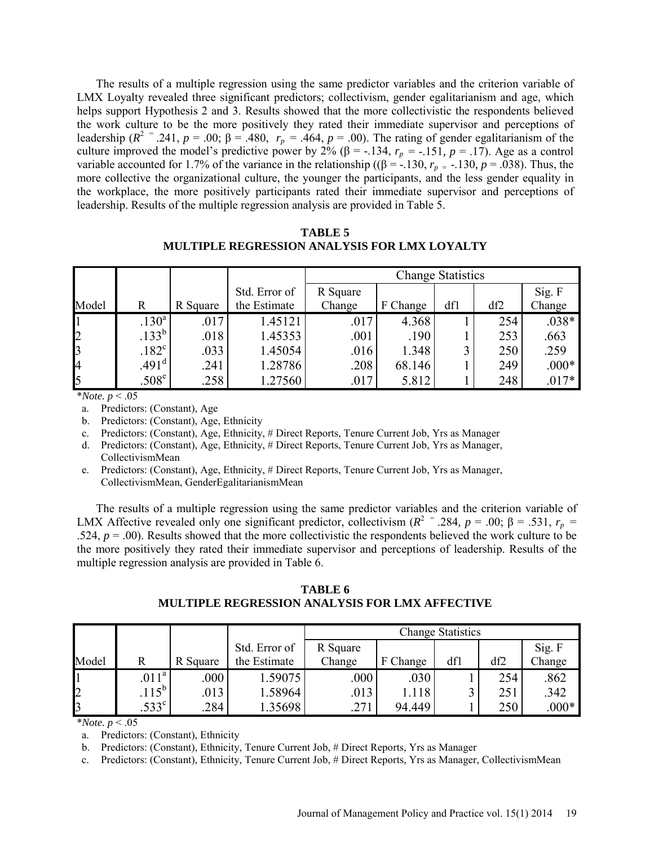The results of a multiple regression using the same predictor variables and the criterion variable of LMX Loyalty revealed three significant predictors; collectivism, gender egalitarianism and age, which helps support Hypothesis 2 and 3. Results showed that the more collectivistic the respondents believed the work culture to be the more positively they rated their immediate supervisor and perceptions of leadership ( $R^2$ <sup>=</sup> .241,  $p = .00$ ;  $\beta = .480$ ,  $r_p = .464$ ,  $p = .00$ ). The rating of gender egalitarianism of the culture improved the model's predictive power by 2% ( $\beta$  = -.134,  $r_p$  = -.151,  $p$  = .17). Age as a control variable accounted for 1.7% of the variance in the relationship ( $(\beta = -130, r_p = -130, p = .038)$ ). Thus, the more collective the organizational culture, the younger the participants, and the less gender equality in the workplace, the more positively participants rated their immediate supervisor and perceptions of leadership. Results of the multiple regression analysis are provided in Table 5.

**TABLE 5 MULTIPLE REGRESSION ANALYSIS FOR LMX LOYALTY**

|                  |                   |          |               | <b>Change Statistics</b> |          |     |     |         |
|------------------|-------------------|----------|---------------|--------------------------|----------|-----|-----|---------|
|                  |                   |          | Std. Error of | R Square                 |          |     |     | Sig. F  |
| Model            | R                 | R Square | the Estimate  | Change                   | F Change | df1 | df2 | Change  |
|                  | .130 <sup>a</sup> | .017     | 1.45121       | .017                     | 4.368    |     | 254 | $.038*$ |
| $\boldsymbol{z}$ | $.133^{b}$        | .018     | 1.45353       | .001                     | .190     |     | 253 | .663    |
| $\overline{3}$   | .182 <sup>c</sup> | .033     | 1.45054       | .016                     | 1.348    | 3   | 250 | .259    |
| 4                | .491 <sup>d</sup> | .241     | 1.28786       | .208                     | 68.146   |     | 249 | $.000*$ |
| 5                | .508 <sup>e</sup> | .258     | 1.27560       | .017                     | 5.812    |     | 248 | $.017*$ |

\**Note. p* < .05

a. Predictors: (Constant), Age

b. Predictors: (Constant), Age, Ethnicity

c. Predictors: (Constant), Age, Ethnicity, # Direct Reports, Tenure Current Job, Yrs as Manager

d. Predictors: (Constant), Age, Ethnicity, # Direct Reports, Tenure Current Job, Yrs as Manager, CollectivismMean

e. Predictors: (Constant), Age, Ethnicity, # Direct Reports, Tenure Current Job, Yrs as Manager, CollectivismMean, GenderEgalitarianismMean

The results of a multiple regression using the same predictor variables and the criterion variable of LMX Affective revealed only one significant predictor, collectivism ( $R^2$ <sup>=</sup> .284*, p* = .00;  $\beta$  = .531,  $r_p$  = .524,  $p = 0.00$ . Results showed that the more collectivistic the respondents believed the work culture to be the more positively they rated their immediate supervisor and perceptions of leadership. Results of the multiple regression analysis are provided in Table 6.

**TABLE 6 MULTIPLE REGRESSION ANALYSIS FOR LMX AFFECTIVE**

|                |                   |          |               | <b>Change Statistics</b> |          |     |     |         |
|----------------|-------------------|----------|---------------|--------------------------|----------|-----|-----|---------|
|                |                   |          | Std. Error of | R Square                 |          |     |     | Sig. F  |
| Model          |                   | R Square | the Estimate  | Change                   | F Change | df1 | df2 | Change  |
|                | .011 <sup>a</sup> | 000      | 1.59075       | .000                     | .030     |     | 254 | .862    |
| $\overline{2}$ | $.115^b$          | .013     | 1.58964       | .013                     | .118     |     | 251 | 342     |
| $\overline{3}$ | .533 <sup>c</sup> | 284      | 1.35698       | .271                     | 94.449   |     | 250 | $.000*$ |

\**Note. p* < .05

a. Predictors: (Constant), Ethnicity

b. Predictors: (Constant), Ethnicity, Tenure Current Job, # Direct Reports, Yrs as Manager

c. Predictors: (Constant), Ethnicity, Tenure Current Job, # Direct Reports, Yrs as Manager, CollectivismMean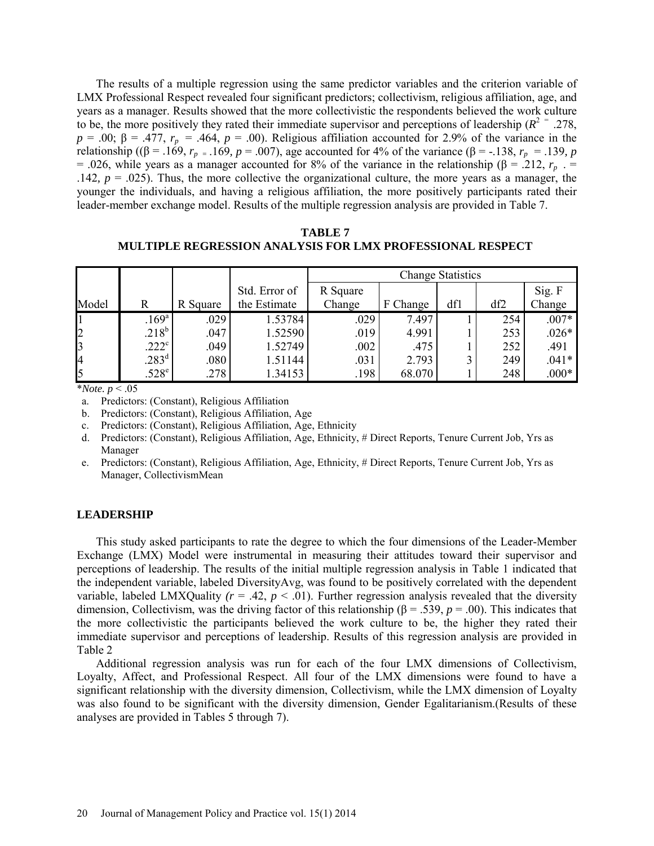The results of a multiple regression using the same predictor variables and the criterion variable of LMX Professional Respect revealed four significant predictors; collectivism, religious affiliation, age, and years as a manager. Results showed that the more collectivistic the respondents believed the work culture to be, the more positively they rated their immediate supervisor and perceptions of leadership ( $R^2$ <sup>=</sup> .278,  $p = .00$ ;  $\beta = .477$ ,  $r_p = .464$ ,  $p = .00$ ). Religious affiliation accounted for 2.9% of the variance in the relationship ((β = .169,  $r_{p}$  = .169,  $p$  = .007), age accounted for 4% of the variance (β = -.138,  $r_{p}$  = .139,  $p$ = .026, while years as a manager accounted for 8% of the variance in the relationship (β = .212,  $r_p$ . = .142*, p* = .025). Thus, the more collective the organizational culture, the more years as a manager, the younger the individuals, and having a religious affiliation, the more positively participants rated their leader-member exchange model. Results of the multiple regression analysis are provided in Table 7.

**TABLE 7 MULTIPLE REGRESSION ANALYSIS FOR LMX PROFESSIONAL RESPECT**

|                |                     |          |               | <b>Change Statistics</b> |          |     |     |         |
|----------------|---------------------|----------|---------------|--------------------------|----------|-----|-----|---------|
|                |                     |          | Std. Error of | R Square                 |          |     |     | Sig. F  |
| Model          | R                   | R Square | the Estimate  | Change                   | F Change | df1 | df2 | Change  |
|                | $.169$ <sup>a</sup> | .029     | 1.53784       | .029                     | 7.497    |     | 254 | $.007*$ |
| $\overline{2}$ | $.218^{b}$          | .047     | 1.52590       | .019                     | 4.991    |     | 253 | $.026*$ |
| 3              | $222^{\circ}$       | .049     | 1.52749       | .002                     | .475     |     | 252 | .491    |
| <b>Z</b>       | $.283^d$            | .080     | 1.51144       | .031                     | 2.793    |     | 249 | $.041*$ |
| 5              | .528 <sup>e</sup>   | .278     | 1.34153       | .198                     | 68.070   |     | 248 | $.000*$ |

\**Note. p* < .05

a. Predictors: (Constant), Religious Affiliation

b. Predictors: (Constant), Religious Affiliation, Age

c. Predictors: (Constant), Religious Affiliation, Age, Ethnicity

d. Predictors: (Constant), Religious Affiliation, Age, Ethnicity, # Direct Reports, Tenure Current Job, Yrs as Manager

e. Predictors: (Constant), Religious Affiliation, Age, Ethnicity, # Direct Reports, Tenure Current Job, Yrs as Manager, CollectivismMean

#### **LEADERSHIP**

This study asked participants to rate the degree to which the four dimensions of the Leader-Member Exchange (LMX) Model were instrumental in measuring their attitudes toward their supervisor and perceptions of leadership. The results of the initial multiple regression analysis in Table 1 indicated that the independent variable, labeled DiversityAvg, was found to be positively correlated with the dependent variable, labeled LMXQuality  $(r = .42, p < .01)$ . Further regression analysis revealed that the diversity dimension, Collectivism, was the driving factor of this relationship ( $\beta$  = .539,  $p$  = .00). This indicates that the more collectivistic the participants believed the work culture to be, the higher they rated their immediate supervisor and perceptions of leadership. Results of this regression analysis are provided in Table 2

Additional regression analysis was run for each of the four LMX dimensions of Collectivism, Loyalty, Affect, and Professional Respect. All four of the LMX dimensions were found to have a significant relationship with the diversity dimension, Collectivism, while the LMX dimension of Loyalty was also found to be significant with the diversity dimension, Gender Egalitarianism.(Results of these analyses are provided in Tables 5 through 7).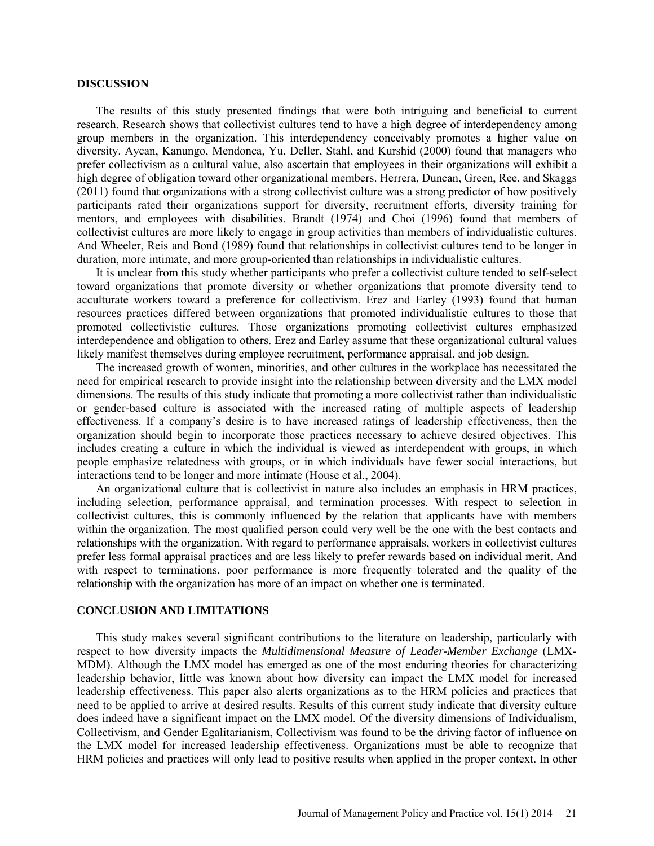#### **DISCUSSION**

The results of this study presented findings that were both intriguing and beneficial to current research. Research shows that collectivist cultures tend to have a high degree of interdependency among group members in the organization. This interdependency conceivably promotes a higher value on diversity. Aycan, Kanungo, Mendonca, Yu, Deller, Stahl, and Kurshid (2000) found that managers who prefer collectivism as a cultural value, also ascertain that employees in their organizations will exhibit a high degree of obligation toward other organizational members. Herrera, Duncan, Green, Ree, and Skaggs (2011) found that organizations with a strong collectivist culture was a strong predictor of how positively participants rated their organizations support for diversity, recruitment efforts, diversity training for mentors, and employees with disabilities. Brandt (1974) and Choi (1996) found that members of collectivist cultures are more likely to engage in group activities than members of individualistic cultures. And Wheeler, Reis and Bond (1989) found that relationships in collectivist cultures tend to be longer in duration, more intimate, and more group-oriented than relationships in individualistic cultures.

It is unclear from this study whether participants who prefer a collectivist culture tended to self-select toward organizations that promote diversity or whether organizations that promote diversity tend to acculturate workers toward a preference for collectivism. Erez and Earley (1993) found that human resources practices differed between organizations that promoted individualistic cultures to those that promoted collectivistic cultures. Those organizations promoting collectivist cultures emphasized interdependence and obligation to others. Erez and Earley assume that these organizational cultural values likely manifest themselves during employee recruitment, performance appraisal, and job design.

The increased growth of women, minorities, and other cultures in the workplace has necessitated the need for empirical research to provide insight into the relationship between diversity and the LMX model dimensions. The results of this study indicate that promoting a more collectivist rather than individualistic or gender-based culture is associated with the increased rating of multiple aspects of leadership effectiveness. If a company's desire is to have increased ratings of leadership effectiveness, then the organization should begin to incorporate those practices necessary to achieve desired objectives. This includes creating a culture in which the individual is viewed as interdependent with groups, in which people emphasize relatedness with groups, or in which individuals have fewer social interactions, but interactions tend to be longer and more intimate (House et al., 2004).

An organizational culture that is collectivist in nature also includes an emphasis in HRM practices, including selection, performance appraisal, and termination processes. With respect to selection in collectivist cultures, this is commonly influenced by the relation that applicants have with members within the organization. The most qualified person could very well be the one with the best contacts and relationships with the organization. With regard to performance appraisals, workers in collectivist cultures prefer less formal appraisal practices and are less likely to prefer rewards based on individual merit. And with respect to terminations, poor performance is more frequently tolerated and the quality of the relationship with the organization has more of an impact on whether one is terminated.

## **CONCLUSION AND LIMITATIONS**

This study makes several significant contributions to the literature on leadership, particularly with respect to how diversity impacts the *Multidimensional Measure of Leader-Member Exchange* (LMX-MDM). Although the LMX model has emerged as one of the most enduring theories for characterizing leadership behavior, little was known about how diversity can impact the LMX model for increased leadership effectiveness. This paper also alerts organizations as to the HRM policies and practices that need to be applied to arrive at desired results. Results of this current study indicate that diversity culture does indeed have a significant impact on the LMX model. Of the diversity dimensions of Individualism, Collectivism, and Gender Egalitarianism, Collectivism was found to be the driving factor of influence on the LMX model for increased leadership effectiveness. Organizations must be able to recognize that HRM policies and practices will only lead to positive results when applied in the proper context. In other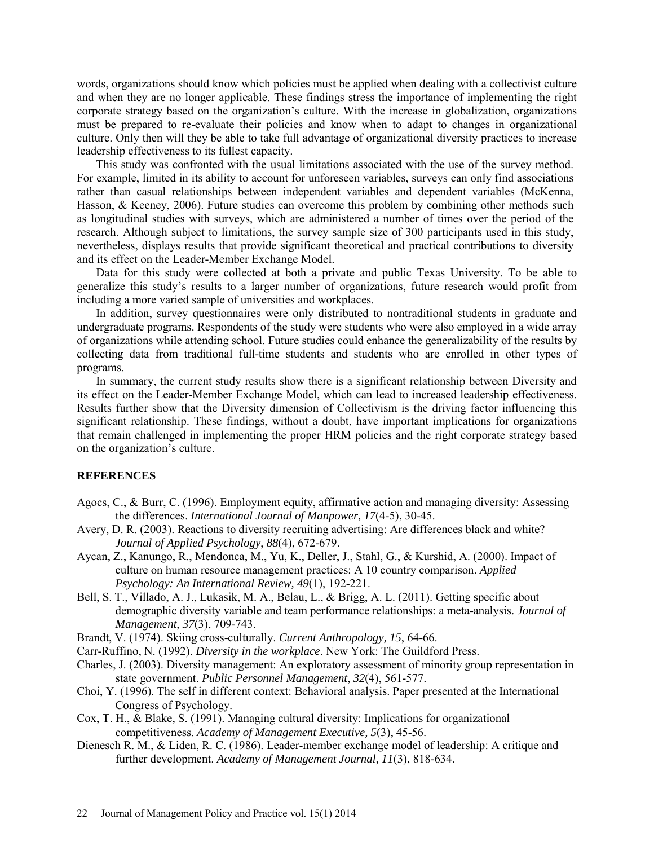words, organizations should know which policies must be applied when dealing with a collectivist culture and when they are no longer applicable. These findings stress the importance of implementing the right corporate strategy based on the organization's culture. With the increase in globalization, organizations must be prepared to re-evaluate their policies and know when to adapt to changes in organizational culture. Only then will they be able to take full advantage of organizational diversity practices to increase leadership effectiveness to its fullest capacity.

This study was confronted with the usual limitations associated with the use of the survey method. For example, limited in its ability to account for unforeseen variables, surveys can only find associations rather than casual relationships between independent variables and dependent variables (McKenna, Hasson, & Keeney, 2006). Future studies can overcome this problem by combining other methods such as longitudinal studies with surveys, which are administered a number of times over the period of the research. Although subject to limitations, the survey sample size of 300 participants used in this study, nevertheless, displays results that provide significant theoretical and practical contributions to diversity and its effect on the Leader-Member Exchange Model.

Data for this study were collected at both a private and public Texas University. To be able to generalize this study's results to a larger number of organizations, future research would profit from including a more varied sample of universities and workplaces.

In addition, survey questionnaires were only distributed to nontraditional students in graduate and undergraduate programs. Respondents of the study were students who were also employed in a wide array of organizations while attending school. Future studies could enhance the generalizability of the results by collecting data from traditional full-time students and students who are enrolled in other types of programs.

In summary, the current study results show there is a significant relationship between Diversity and its effect on the Leader-Member Exchange Model, which can lead to increased leadership effectiveness. Results further show that the Diversity dimension of Collectivism is the driving factor influencing this significant relationship. These findings, without a doubt, have important implications for organizations that remain challenged in implementing the proper HRM policies and the right corporate strategy based on the organization's culture.

## **REFERENCES**

- Agocs, C., & Burr, C. (1996). Employment equity, affirmative action and managing diversity: Assessing the differences. *International Journal of Manpower, 17*(4-5), 30-45.
- Avery, D. R. (2003). Reactions to diversity recruiting advertising: Are differences black and white? *Journal of Applied Psychology*, *88*(4), 672-679.
- Aycan, Z., Kanungo, R., Mendonca, M., Yu, K., Deller, J., Stahl, G., & Kurshid, A. (2000). Impact of culture on human resource management practices: A 10 country comparison. *Applied Psychology: An International Review, 49*(1), 192-221.
- Bell, S. T., Villado, A. J., Lukasik, M. A., Belau, L., & Brigg, A. L. (2011). Getting specific about demographic diversity variable and team performance relationships: a meta-analysis. *Journal of Management*, *37*(3), 709-743.
- Brandt, V. (1974). Skiing cross-culturally. *Current Anthropology, 15*, 64-66.
- Carr-Ruffino, N. (1992). *Diversity in the workplace*. New York: The Guildford Press.
- Charles, J. (2003). Diversity management: An exploratory assessment of minority group representation in state government. *Public Personnel Management*, *32*(4), 561-577.
- Choi, Y. (1996). The self in different context: Behavioral analysis. Paper presented at the International Congress of Psychology.
- Cox, T. H., & Blake, S. (1991). Managing cultural diversity: Implications for organizational competitiveness. *Academy of Management Executive, 5*(3), 45-56.
- Dienesch R. M., & Liden, R. C. (1986). Leader-member exchange model of leadership: A critique and further development. *Academy of Management Journal, 11*(3), 818-634.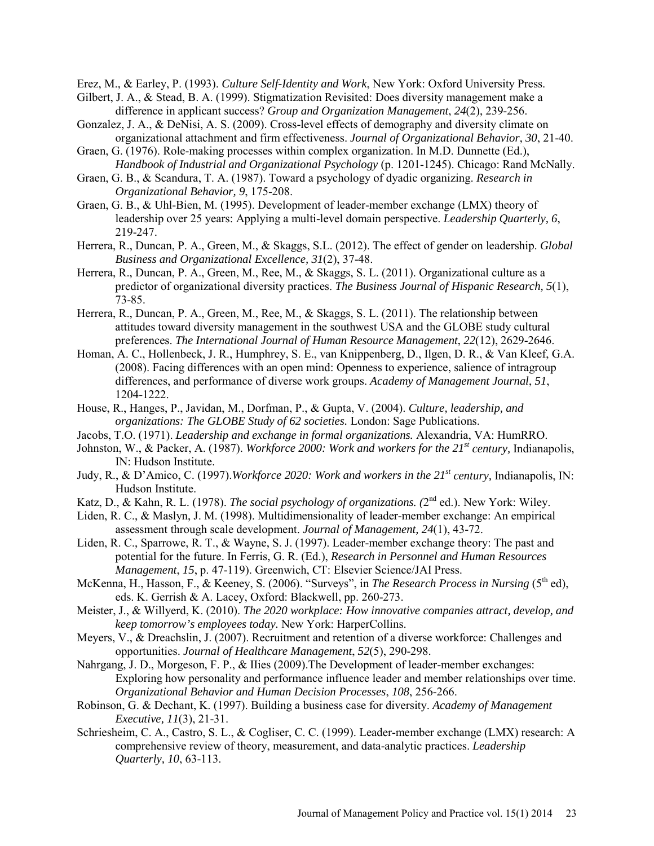Erez, M., & Earley, P. (1993). *Culture Self-Identity and Work*, New York: Oxford University Press.

- Gilbert, J. A., & Stead, B. A. (1999). Stigmatization Revisited: Does diversity management make a difference in applicant success? *Group and Organization Management*, *24*(2), 239-256.
- Gonzalez, J. A., & DeNisi, A. S. (2009). Cross-level effects of demography and diversity climate on organizational attachment and firm effectiveness. *Journal of Organizational Behavior*, *30*, 21-40.
- Graen, G. (1976). Role-making processes within complex organization. In M.D. Dunnette (Ed.), *Handbook of Industrial and Organizational Psychology* (p. 1201-1245). Chicago: Rand McNally.
- Graen, G. B., & Scandura, T. A. (1987). Toward a psychology of dyadic organizing. *Research in Organizational Behavior, 9*, 175-208.
- Graen, G. B., & Uhl-Bien, M. (1995). Development of leader-member exchange (LMX) theory of leadership over 25 years: Applying a multi-level domain perspective. *Leadership Quarterly, 6*, 219-247.
- Herrera, R., Duncan, P. A., Green, M., & Skaggs, S.L. (2012). The effect of gender on leadership. *Global Business and Organizational Excellence, 31*(2), 37-48.
- Herrera, R., Duncan, P. A., Green, M., Ree, M., & Skaggs, S. L. (2011). Organizational culture as a predictor of organizational diversity practices. *The Business Journal of Hispanic Research, 5*(1), 73-85.
- Herrera, R., Duncan, P. A., Green, M., Ree, M., & Skaggs, S. L. (2011). The relationship between attitudes toward diversity management in the southwest USA and the GLOBE study cultural preferences. *The International Journal of Human Resource Management*, *22*(12), 2629-2646.
- Homan, A. C., Hollenbeck, J. R., Humphrey, S. E., van Knippenberg, D., Ilgen, D. R., & Van Kleef, G.A. (2008). Facing differences with an open mind: Openness to experience, salience of intragroup differences, and performance of diverse work groups. *Academy of Management Journal*, *51*, 1204-1222.
- House, R., Hanges, P., Javidan, M., Dorfman, P., & Gupta, V. (2004). *Culture, leadership, and organizations: The GLOBE Study of 62 societies.* London: Sage Publications.
- Jacobs, T.O. (1971). *Leadership and exchange in formal organizations.* Alexandria, VA: HumRRO.
- Johnston, W., & Packer, A. (1987). *Workforce 2000: Work and workers for the 21st century,* Indianapolis, IN: Hudson Institute.
- Judy, R., & D'Amico, C. (1997).*Workforce 2020: Work and workers in the 21st century,* Indianapolis, IN: Hudson Institute.
- Katz, D., & Kahn, R. L. (1978). *The social psychology of organizations.* (2<sup>nd</sup> ed.). New York: Wiley.
- Liden, R. C., & Maslyn, J. M. (1998). Multidimensionality of leader-member exchange: An empirical assessment through scale development. *Journal of Management, 24*(1), 43-72.
- Liden, R. C., Sparrowe, R. T., & Wayne, S. J. (1997). Leader-member exchange theory: The past and potential for the future. In Ferris, G. R. (Ed.), *Research in Personnel and Human Resources Management*, *15*, p. 47-119). Greenwich, CT: Elsevier Science/JAI Press.
- McKenna, H., Hasson, F., & Keeney, S. (2006). "Surveys", in *The Research Process in Nursing* (5<sup>th</sup> ed), eds. K. Gerrish & A. Lacey, Oxford: Blackwell, pp. 260-273.
- Meister, J., & Willyerd, K. (2010). *The 2020 workplace: How innovative companies attract, develop, and keep tomorrow's employees today.* New York: HarperCollins.
- Meyers, V., & Dreachslin, J. (2007). Recruitment and retention of a diverse workforce: Challenges and opportunities. *Journal of Healthcare Management*, *52*(5), 290-298.
- Nahrgang, J. D., Morgeson, F. P., & IIies (2009).The Development of leader-member exchanges: Exploring how personality and performance influence leader and member relationships over time. *Organizational Behavior and Human Decision Processes*, *108*, 256-266.
- Robinson, G. & Dechant, K. (1997). Building a business case for diversity. *Academy of Management Executive, 11*(3), 21-31.
- Schriesheim, C. A., Castro, S. L., & Cogliser, C. C. (1999). Leader-member exchange (LMX) research: A comprehensive review of theory, measurement, and data-analytic practices. *Leadership Quarterly, 10*, 63-113.